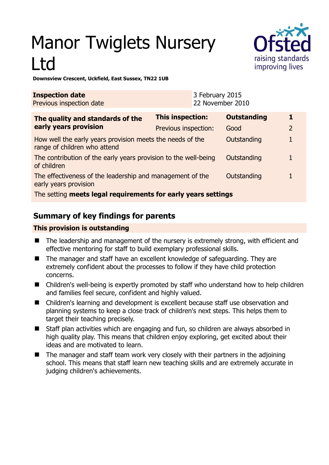# Manor Twiglets Nursery Ltd



#### **Downsview Crescent, Uckfield, East Sussex, TN22 1UB**

| <b>Inspection date</b><br>Previous inspection date                                        |                         | 3 February 2015<br>22 November 2010 |                    |                |  |
|-------------------------------------------------------------------------------------------|-------------------------|-------------------------------------|--------------------|----------------|--|
| The quality and standards of the<br>early years provision                                 | <b>This inspection:</b> |                                     | <b>Outstanding</b> |                |  |
|                                                                                           | Previous inspection:    |                                     | Good               | $\overline{2}$ |  |
| How well the early years provision meets the needs of the<br>range of children who attend |                         |                                     | Outstanding        |                |  |
| The contribution of the early years provision to the well-being<br>of children            |                         |                                     | Outstanding        |                |  |
| The effectiveness of the leadership and management of the<br>early years provision        |                         |                                     | Outstanding        |                |  |
| The setting meets legal requirements for early years settings                             |                         |                                     |                    |                |  |

# **Summary of key findings for parents**

# **This provision is outstanding**

- The leadership and management of the nursery is extremely strong, with efficient and effective mentoring for staff to build exemplary professional skills.
- The manager and staff have an excellent knowledge of safeguarding. They are extremely confident about the processes to follow if they have child protection concerns.
- Children's well-being is expertly promoted by staff who understand how to help children and families feel secure, confident and highly valued.
- Children's learning and development is excellent because staff use observation and planning systems to keep a close track of children's next steps. This helps them to target their teaching precisely.
- Staff plan activities which are engaging and fun, so children are always absorbed in high quality play. This means that children enjoy exploring, get excited about their ideas and are motivated to learn.
- The manager and staff team work very closely with their partners in the adjoining school. This means that staff learn new teaching skills and are extremely accurate in judging children's achievements.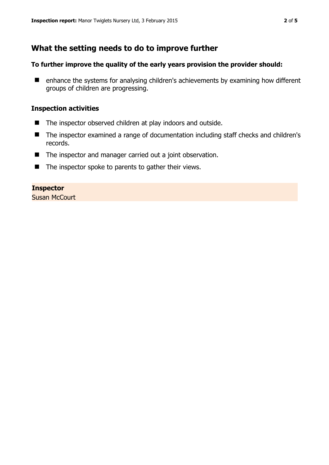# **What the setting needs to do to improve further**

## **To further improve the quality of the early years provision the provider should:**

■ enhance the systems for analysing children's achievements by examining how different groups of children are progressing.

## **Inspection activities**

- The inspector observed children at play indoors and outside.
- The inspector examined a range of documentation including staff checks and children's records.
- The inspector and manager carried out a joint observation.
- $\blacksquare$  The inspector spoke to parents to gather their views.

#### **Inspector**

Susan McCourt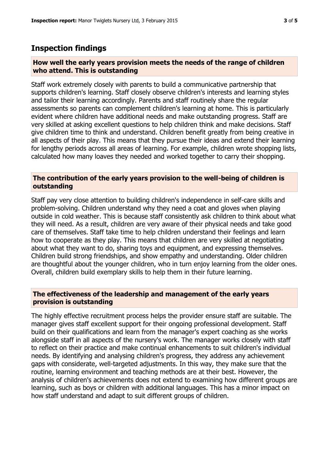# **Inspection findings**

#### **How well the early years provision meets the needs of the range of children who attend. This is outstanding**

Staff work extremely closely with parents to build a communicative partnership that supports children's learning. Staff closely observe children's interests and learning styles and tailor their learning accordingly. Parents and staff routinely share the regular assessments so parents can complement children's learning at home. This is particularly evident where children have additional needs and make outstanding progress. Staff are very skilled at asking excellent questions to help children think and make decisions. Staff give children time to think and understand. Children benefit greatly from being creative in all aspects of their play. This means that they pursue their ideas and extend their learning for lengthy periods across all areas of learning. For example, children wrote shopping lists, calculated how many loaves they needed and worked together to carry their shopping.

## **The contribution of the early years provision to the well-being of children is outstanding**

Staff pay very close attention to building children's independence in self-care skills and problem-solving. Children understand why they need a coat and gloves when playing outside in cold weather. This is because staff consistently ask children to think about what they will need. As a result, children are very aware of their physical needs and take good care of themselves. Staff take time to help children understand their feelings and learn how to cooperate as they play. This means that children are very skilled at negotiating about what they want to do, sharing toys and equipment, and expressing themselves. Children build strong friendships, and show empathy and understanding. Older children are thoughtful about the younger children, who in turn enjoy learning from the older ones. Overall, children build exemplary skills to help them in their future learning.

## **The effectiveness of the leadership and management of the early years provision is outstanding**

The highly effective recruitment process helps the provider ensure staff are suitable. The manager gives staff excellent support for their ongoing professional development. Staff build on their qualifications and learn from the manager's expert coaching as she works alongside staff in all aspects of the nursery's work. The manager works closely with staff to reflect on their practice and make continual enhancements to suit children's individual needs. By identifying and analysing children's progress, they address any achievement gaps with considerate, well-targeted adjustments. In this way, they make sure that the routine, learning environment and teaching methods are at their best. However, the analysis of children's achievements does not extend to examining how different groups are learning, such as boys or children with additional languages. This has a minor impact on how staff understand and adapt to suit different groups of children.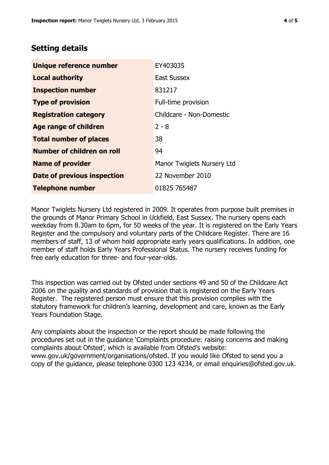# **Setting details**

| Unique reference number       | EY403035                   |  |  |
|-------------------------------|----------------------------|--|--|
| <b>Local authority</b>        | <b>East Sussex</b>         |  |  |
| <b>Inspection number</b>      | 831217                     |  |  |
| <b>Type of provision</b>      | Full-time provision        |  |  |
| <b>Registration category</b>  | Childcare - Non-Domestic   |  |  |
| Age range of children         | $2 - 8$                    |  |  |
| <b>Total number of places</b> | 38                         |  |  |
| Number of children on roll    | 94                         |  |  |
| <b>Name of provider</b>       | Manor Twiglets Nursery Ltd |  |  |
| Date of previous inspection   | 22 November 2010           |  |  |
| <b>Telephone number</b>       | 01825 765487               |  |  |

Manor Twiglets Nursery Ltd registered in 2009. It operates from purpose built premises in the grounds of Manor Primary School in Uckfield, East Sussex. The nursery opens each weekday from 8.30am to 6pm, for 50 weeks of the year. It is registered on the Early Years Register and the compulsory and voluntary parts of the Childcare Register. There are 16 members of staff, 13 of whom hold appropriate early years qualifications. In addition, one member of staff holds Early Years Professional Status. The nursery receives funding for free early education for three- and four-year-olds.

This inspection was carried out by Ofsted under sections 49 and 50 of the Childcare Act 2006 on the quality and standards of provision that is registered on the Early Years Register. The registered person must ensure that this provision complies with the statutory framework for children's learning, development and care, known as the Early Years Foundation Stage.

Any complaints about the inspection or the report should be made following the procedures set out in the guidance 'Complaints procedure: raising concerns and making complaints about Ofsted', which is available from Ofsted's website: www.gov.uk/government/organisations/ofsted. If you would like Ofsted to send you a copy of the guidance, please telephone 0300 123 4234, or email enquiries@ofsted.gov.uk.